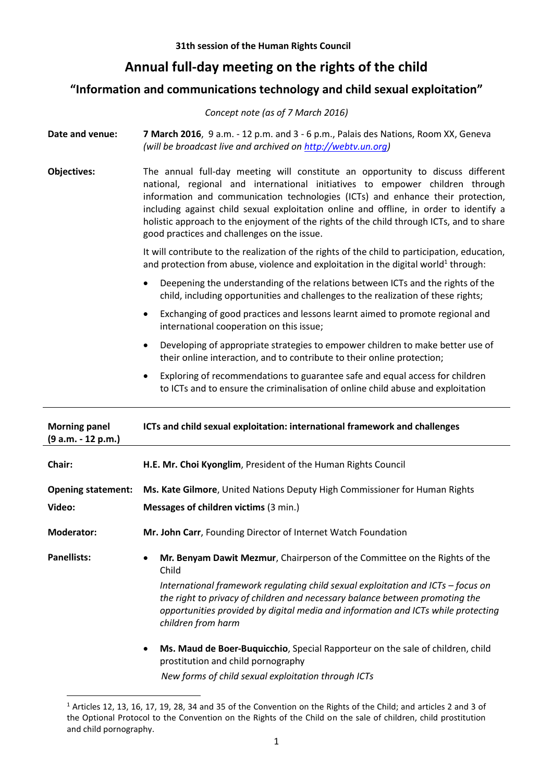## **Annual full-day meeting on the rights of the child**

## **"Information and communications technology and child sexual exploitation"**

|                                            | Concept note (as of 7 March 2016)                                                                                                                                                                                                                                                                                                                                                                                                                                                       |
|--------------------------------------------|-----------------------------------------------------------------------------------------------------------------------------------------------------------------------------------------------------------------------------------------------------------------------------------------------------------------------------------------------------------------------------------------------------------------------------------------------------------------------------------------|
| Date and venue:                            | 7 March 2016, 9 a.m. - 12 p.m. and 3 - 6 p.m., Palais des Nations, Room XX, Geneva<br>(will be broadcast live and archived on http://webtv.un.org)                                                                                                                                                                                                                                                                                                                                      |
| <b>Objectives:</b>                         | The annual full-day meeting will constitute an opportunity to discuss different<br>national, regional and international initiatives to empower children through<br>information and communication technologies (ICTs) and enhance their protection,<br>including against child sexual exploitation online and offline, in order to identify a<br>holistic approach to the enjoyment of the rights of the child through ICTs, and to share<br>good practices and challenges on the issue. |
|                                            | It will contribute to the realization of the rights of the child to participation, education,<br>and protection from abuse, violence and exploitation in the digital world <sup>1</sup> through:                                                                                                                                                                                                                                                                                        |
|                                            | Deepening the understanding of the relations between ICTs and the rights of the<br>child, including opportunities and challenges to the realization of these rights;                                                                                                                                                                                                                                                                                                                    |
|                                            | Exchanging of good practices and lessons learnt aimed to promote regional and<br>$\bullet$<br>international cooperation on this issue;                                                                                                                                                                                                                                                                                                                                                  |
|                                            | Developing of appropriate strategies to empower children to make better use of<br>٠<br>their online interaction, and to contribute to their online protection;                                                                                                                                                                                                                                                                                                                          |
|                                            | Exploring of recommendations to guarantee safe and equal access for children<br>to ICTs and to ensure the criminalisation of online child abuse and exploitation                                                                                                                                                                                                                                                                                                                        |
| <b>Morning panel</b><br>(9 a.m. - 12 p.m.) | ICTs and child sexual exploitation: international framework and challenges                                                                                                                                                                                                                                                                                                                                                                                                              |

| Chair:                              | H.E. Mr. Choi Kyonglim, President of the Human Rights Council                                                                                                                                                                                                                                                                                                                     |
|-------------------------------------|-----------------------------------------------------------------------------------------------------------------------------------------------------------------------------------------------------------------------------------------------------------------------------------------------------------------------------------------------------------------------------------|
| <b>Opening statement:</b><br>Video: | Ms. Kate Gilmore, United Nations Deputy High Commissioner for Human Rights<br>Messages of children victims (3 min.)                                                                                                                                                                                                                                                               |
| <b>Moderator:</b>                   | Mr. John Carr, Founding Director of Internet Watch Foundation                                                                                                                                                                                                                                                                                                                     |
| <b>Panellists:</b>                  | Mr. Benyam Dawit Mezmur, Chairperson of the Committee on the Rights of the<br>$\bullet$<br>Child<br>International framework regulating child sexual exploitation and ICTs $-$ focus on<br>the right to privacy of children and necessary balance between promoting the<br>opportunities provided by digital media and information and ICTs while protecting<br>children from harm |
|                                     | Ms. Maud de Boer-Buquicchio, Special Rapporteur on the sale of children, child<br>$\bullet$<br>prostitution and child pornography                                                                                                                                                                                                                                                 |

*New forms of child sexual exploitation through ICTs* 

**<sup>.</sup>** <sup>1</sup> Articles 12, 13, 16, 17, 19, 28, 34 and 35 of the Convention on the Rights of the Child; and articles 2 and 3 of the Optional Protocol to the Convention on the Rights of the Child on the sale of children, child prostitution and child pornography.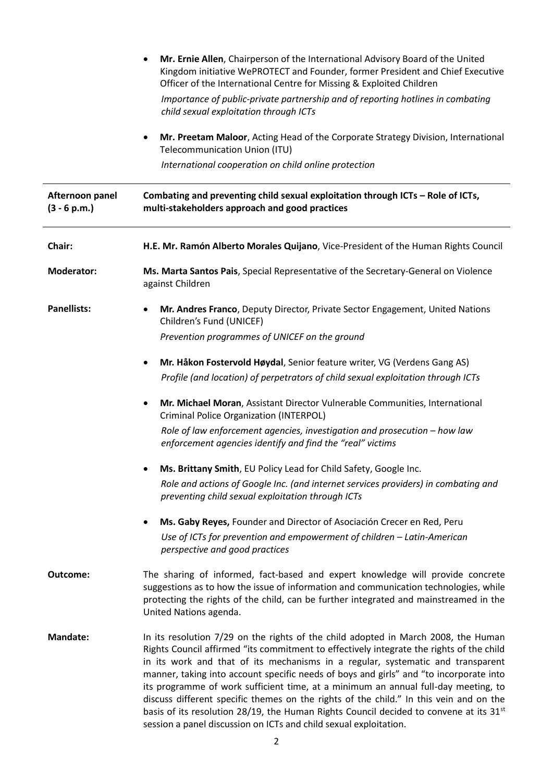|                    | Mr. Ernie Allen, Chairperson of the International Advisory Board of the United<br>Kingdom initiative WePROTECT and Founder, former President and Chief Executive<br>Officer of the International Centre for Missing & Exploited Children<br>Importance of public-private partnership and of reporting hotlines in combating<br>child sexual exploitation through ICTs                                                                                                                                                                                                                                                                                                                                        |
|--------------------|--------------------------------------------------------------------------------------------------------------------------------------------------------------------------------------------------------------------------------------------------------------------------------------------------------------------------------------------------------------------------------------------------------------------------------------------------------------------------------------------------------------------------------------------------------------------------------------------------------------------------------------------------------------------------------------------------------------|
|                    | Mr. Preetam Maloor, Acting Head of the Corporate Strategy Division, International<br>Telecommunication Union (ITU)<br>International cooperation on child online protection                                                                                                                                                                                                                                                                                                                                                                                                                                                                                                                                   |
|                    |                                                                                                                                                                                                                                                                                                                                                                                                                                                                                                                                                                                                                                                                                                              |
| Chair:             | H.E. Mr. Ramón Alberto Morales Quijano, Vice-President of the Human Rights Council                                                                                                                                                                                                                                                                                                                                                                                                                                                                                                                                                                                                                           |
| <b>Moderator:</b>  | Ms. Marta Santos Pais, Special Representative of the Secretary-General on Violence<br>against Children                                                                                                                                                                                                                                                                                                                                                                                                                                                                                                                                                                                                       |
| <b>Panellists:</b> | Mr. Andres Franco, Deputy Director, Private Sector Engagement, United Nations<br>٠<br>Children's Fund (UNICEF)                                                                                                                                                                                                                                                                                                                                                                                                                                                                                                                                                                                               |
|                    | Prevention programmes of UNICEF on the ground                                                                                                                                                                                                                                                                                                                                                                                                                                                                                                                                                                                                                                                                |
|                    | Mr. Håkon Fostervold Høydal, Senior feature writer, VG (Verdens Gang AS)                                                                                                                                                                                                                                                                                                                                                                                                                                                                                                                                                                                                                                     |
|                    | Profile (and location) of perpetrators of child sexual exploitation through ICTs                                                                                                                                                                                                                                                                                                                                                                                                                                                                                                                                                                                                                             |
|                    | Mr. Michael Moran, Assistant Director Vulnerable Communities, International<br>٠<br><b>Criminal Police Organization (INTERPOL)</b>                                                                                                                                                                                                                                                                                                                                                                                                                                                                                                                                                                           |
|                    | Role of law enforcement agencies, investigation and prosecution - how law<br>enforcement agencies identify and find the "real" victims                                                                                                                                                                                                                                                                                                                                                                                                                                                                                                                                                                       |
|                    | Ms. Brittany Smith, EU Policy Lead for Child Safety, Google Inc.                                                                                                                                                                                                                                                                                                                                                                                                                                                                                                                                                                                                                                             |
|                    | Role and actions of Google Inc. (and internet services providers) in combating and<br>preventing child sexual exploitation through ICTs                                                                                                                                                                                                                                                                                                                                                                                                                                                                                                                                                                      |
|                    | Ms. Gaby Reyes, Founder and Director of Asociación Crecer en Red, Peru<br>٠                                                                                                                                                                                                                                                                                                                                                                                                                                                                                                                                                                                                                                  |
|                    | Use of ICTs for prevention and empowerment of children - Latin-American<br>perspective and good practices                                                                                                                                                                                                                                                                                                                                                                                                                                                                                                                                                                                                    |
| Outcome:           | The sharing of informed, fact-based and expert knowledge will provide concrete<br>suggestions as to how the issue of information and communication technologies, while<br>protecting the rights of the child, can be further integrated and mainstreamed in the<br>United Nations agenda.                                                                                                                                                                                                                                                                                                                                                                                                                    |
| <b>Mandate:</b>    | In its resolution 7/29 on the rights of the child adopted in March 2008, the Human<br>Rights Council affirmed "its commitment to effectively integrate the rights of the child<br>in its work and that of its mechanisms in a regular, systematic and transparent<br>manner, taking into account specific needs of boys and girls" and "to incorporate into<br>its programme of work sufficient time, at a minimum an annual full-day meeting, to<br>discuss different specific themes on the rights of the child." In this vein and on the<br>basis of its resolution 28/19, the Human Rights Council decided to convene at its $31st$<br>session a panel discussion on ICTs and child sexual exploitation. |